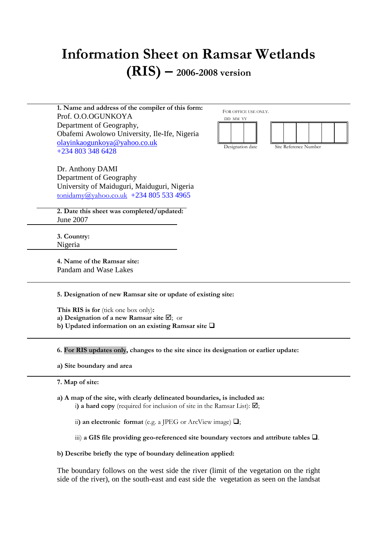# **Information Sheet on Ramsar Wetlands (RIS) – 2006-2008 version**

**1. Name and address of the compiler of this form:**  Prof. O.O.OGUNKOYA Department of Geography, Obafemi Awolowo University, Ile-Ife, Nigeria olayinkaogunkoya@yahoo.co.uk +234 803 348 6428

Dr. Anthony DAMI Department of Geography University of Maiduguri, Maiduguri, Nigeria tonidamy@yahoo.co.uk +234 805 533 4965

**2. Date this sheet was completed/updated:**  June 2007

**3. Country:**  Nigeria

**4. Name of the Ramsar site:**  Pandam and Wase Lakes

**5. Designation of new Ramsar site or update of existing site:** 

This RIS is for (tick one box only): **a) Designation of a new Ramsar site**  $\boxtimes$ **;** or **b**) Updated information on an existing Ramsar site  $\Box$ 

**6. For RIS updates only, changes to the site since its designation or earlier update:** 

**a) Site boundary and area** 

**7. Map of site:** 

**a) A map of the site, with clearly delineated boundaries, is included as:** i) a hard copy (required for inclusion of site in the Ramsar List):  $\boxtimes$ ;

ii) an electronic format (e.g. a JPEG or ArcView image)  $\Box$ ;

iii) a GIS file providing geo-referenced site boundary vectors and attribute tables  $\square$ .

**b) Describe briefly the type of boundary delineation applied:** 

The boundary follows on the west side the river (limit of the vegetation on the right side of the river), on the south-east and east side the vegetation as seen on the landsat

FOR OFFICE USE ONLY.





Designation date Site Reference Number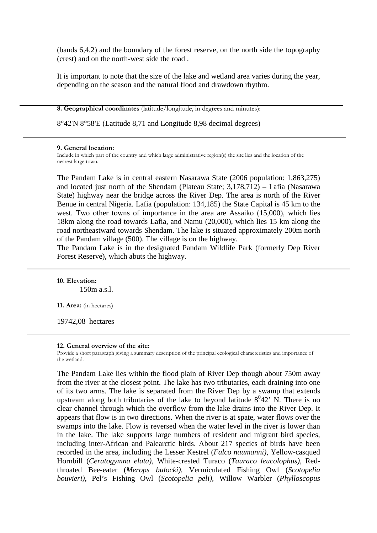(bands 6,4,2) and the boundary of the forest reserve, on the north side the topography (crest) and on the north-west side the road .

It is important to note that the size of the lake and wetland area varies during the year, depending on the season and the natural flood and drawdown rhythm.

**8. Geographical coordinates** (latitude/longitude, in degrees and minutes):

8°42'N 8°58'E (Latitude 8,71 and Longitude 8,98 decimal degrees)

#### **9. General location:**

Include in which part of the country and which large administrative region(s) the site lies and the location of the nearest large town.

The Pandam Lake is in central eastern Nasarawa State (2006 population: 1,863,275) and located just north of the Shendam (Plateau State; 3,178,712) – Lafia (Nasarawa State) highway near the bridge across the River Dep. The area is north of the River Benue in central Nigeria. Lafia (population: 134,185) the State Capital is 45 km to the west. Two other towns of importance in the area are Assaiko (15,000), which lies 18km along the road towards Lafia, and Namu (20,000), which lies 15 km along the road northeastward towards Shendam. The lake is situated approximately 200m north of the Pandam village (500). The village is on the highway.

The Pandam Lake is in the designated Pandam Wildlife Park (formerly Dep River Forest Reserve), which abuts the highway.

**10. Elevation:** 150m a.s.l.

**11. Area:** (in hectares)

19742,08 hectares

#### **12. General overview of the site:**

Provide a short paragraph giving a summary description of the principal ecological characteristics and importance of the wetland.

The Pandam Lake lies within the flood plain of River Dep though about 750m away from the river at the closest point. The lake has two tributaries, each draining into one of its two arms. The lake is separated from the River Dep by a swamp that extends upstream along both tributaries of the lake to beyond latitude  $8^042$ <sup>,</sup> N. There is no clear channel through which the overflow from the lake drains into the River Dep. It appears that flow is in two directions. When the river is at spate, water flows over the swamps into the lake. Flow is reversed when the water level in the river is lower than in the lake. The lake supports large numbers of resident and migrant bird species, including inter-African and Palearctic birds. About 217 species of birds have been recorded in the area, including the Lesser Kestrel (*Falco naumanni)*, Yellow-casqued Hornbill (*Ceratogymna elata)*, White-crested Turaco (*Tauraco leucolophus)*, Redthroated Bee-eater (*Merops bulocki)*, Vermiculated Fishing Owl (*Scotopelia bouvieri)*, Pel's Fishing Owl (*Scotopelia peli),* Willow Warbler (*Phylloscopus*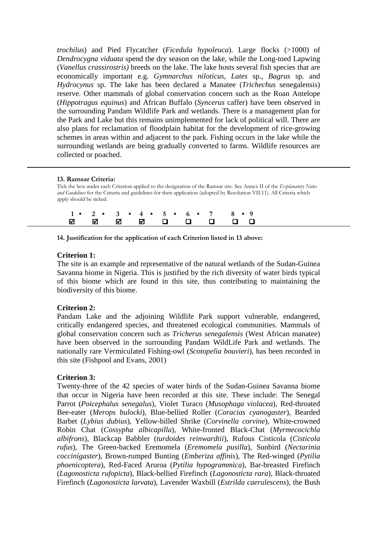*trochilus*) and Pied Flycatcher (*Ficedula hypoleuca*). Large flocks (>1000) of *Dendrocygna viduata* spend the dry season on the lake, while the Long-toed Lapwing (*Vanellus crassirostris)* breeds on the lake. The lake hosts several fish species that are economically important e.g. *Gymnarchus niloticus*, *Lates* sp., *Bagrus* sp. and *Hydrocynus* sp. The lake has been declared a Manatee (*Trichechus* senegalensis) reserve. Other mammals of global conservation concern such as the Roan Antelope (*Hippotragus equinus*) and African Buffalo (*Syncerus* caffer) have been observed in the surrounding Pandam Wildlife Park and wetlands. There is a management plan for the Park and Lake but this remains unimplemented for lack of political will. There are also plans for reclamation of floodplain habitat for the development of rice-growing schemes in areas within and adjacent to the park. Fishing occurs in the lake while the surrounding wetlands are being gradually converted to farms. Wildlife resources are collected or poached.

## **13. Ramsar Criteria:**

Tick the box under each Criterion applied to the designation of the Ramsar site. See Annex II of the *Explanatory Notes and Guidelines* for the Criteria and guidelines for their application (adopted by Resolution VII.11). All Criteria which apply should be ticked.

|  |  |  | $1 \cdot 2 \cdot 3 \cdot 4 \cdot 5 \cdot 6 \cdot 7 \cdot 8 \cdot 9$ |
|--|--|--|---------------------------------------------------------------------|
|  |  |  |                                                                     |

# **14. Justification for the application of each Criterion listed in 13 above:**

# **Criterion 1:**

The site is an example and representative of the natural wetlands of the Sudan-Guinea Savanna biome in Nigeria. This is justified by the rich diversity of water birds typical of this biome which are found in this site, thus contributing to maintaining the biodiversity of this biome.

# **Criterion 2:**

Pandam Lake and the adjoining Wildlife Park support vulnerable, endangered, critically endangered species, and threatened ecological communities. Mammals of global conservation concern such as *Tricherus senegalensis* (West African manatee) have been observed in the surrounding Pandam WildLife Park and wetlands. The nationally rare Vermiculated Fishing-owl (*Scotopelia bouvieri*), has been recorded in this site (Fishpool and Evans, 2001)

# **Criterion 3:**

Twenty-three of the 42 species of water birds of the Sudan-Guinea Savanna biome that occur in Nigeria have been recorded at this site. These include: The Senegal Parrot (*Poicephalus senegalus*), Violet Turaco (*Musophaga violacea*), Red-throated Bee-eater (*Merops bulocki*), Blue-bellied Roller (*Coracias cyanogaster*), Bearded Barbet (*Lybius dubius*), Yellow-billed Shrike (*Corvinella corvine*), White-crowned Robin Chat (*Cossypha albicapilla*), White-fronted Black-Chat (*Myrmecocichla albifrons*), Blackcap Babbler (*turdoides reinwardtii*), Rufous Cisticola (*Cisticola rufus*), The Green-backed Eremomela (*Eremomela pusilla*), Sunbird (*Nectarinia coccinigaster*), Brown-rumped Bunting (*Emberiza affinis*), The Red-winged (*Pytilia phoenicoptera*), Red-Faced Aruroa (*Pytilia hypogrammica*), Bar-breasted Firefinch (*Lagonosticta rufopicta*), Black-bellied Firefinch (*Lagonosticta rara*), Black-throated Firefinch (*Lagonosticta larvata*), Lavender Waxbill (*Estrilda caerulescens*), the Bush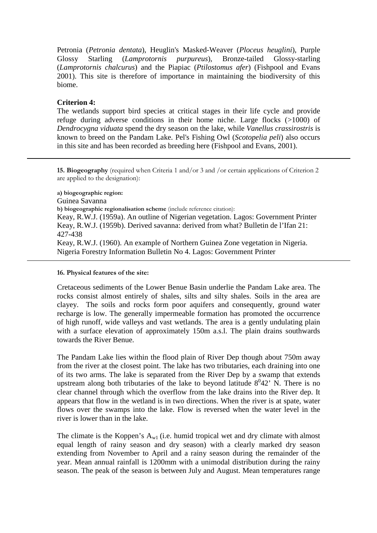Petronia (*Petronia dentata*), Heuglin's Masked-Weaver (*Ploceus heuglini*), Purple Glossy Starling (*Lamprotornis purpureus*), Bronze-tailed Glossy-starling (*Lamprotornis chalcurus*) and the Piapiac (*Ptilostomus afer*) (Fishpool and Evans 2001). This site is therefore of importance in maintaining the biodiversity of this biome.

# **Criterion 4:**

The wetlands support bird species at critical stages in their life cycle and provide refuge during adverse conditions in their home niche. Large flocks (>1000) of *Dendrocygna viduata* spend the dry season on the lake, while *Vanellus crassirostris* is known to breed on the Pandam Lake. Pel's Fishing Owl (*Scotopelia peli*) also occurs in this site and has been recorded as breeding here (Fishpool and Evans, 2001).

**15. Biogeography** (required when Criteria 1 and/or 3 and /or certain applications of Criterion 2 are applied to the designation):

**a) biogeographic region:**  Guinea Savanna **b) biogeographic regionalisation scheme** (include reference citation): Keay, R.W.J. (1959a). An outline of Nigerian vegetation. Lagos: Government Printer Keay, R.W.J. (1959b). Derived savanna: derived from what? Bulletin de l'Ifan 21: 427-438 Keay, R.W.J. (1960). An example of Northern Guinea Zone vegetation in Nigeria. Nigeria Forestry Information Bulletin No 4. Lagos: Government Printer

## **16. Physical features of the site:**

Cretaceous sediments of the Lower Benue Basin underlie the Pandam Lake area. The rocks consist almost entirely of shales, silts and silty shales. Soils in the area are clayey. The soils and rocks form poor aquifers and consequently, ground water recharge is low. The generally impermeable formation has promoted the occurrence of high runoff, wide valleys and vast wetlands. The area is a gently undulating plain with a surface elevation of approximately 150m a.s.l. The plain drains southwards towards the River Benue.

The Pandam Lake lies within the flood plain of River Dep though about 750m away from the river at the closest point. The lake has two tributaries, each draining into one of its two arms. The lake is separated from the River Dep by a swamp that extends upstream along both tributaries of the lake to beyond latitude  $8^042$ <sup>,</sup> N. There is no clear channel through which the overflow from the lake drains into the River dep. It appears that flow in the wetland is in two directions. When the river is at spate, water flows over the swamps into the lake. Flow is reversed when the water level in the river is lower than in the lake.

The climate is the Koppen's  $A_{w1}$  (i.e. humid tropical wet and dry climate with almost equal length of rainy season and dry season) with a clearly marked dry season extending from November to April and a rainy season during the remainder of the year. Mean annual rainfall is 1200mm with a unimodal distribution during the rainy season. The peak of the season is between July and August. Mean temperatures range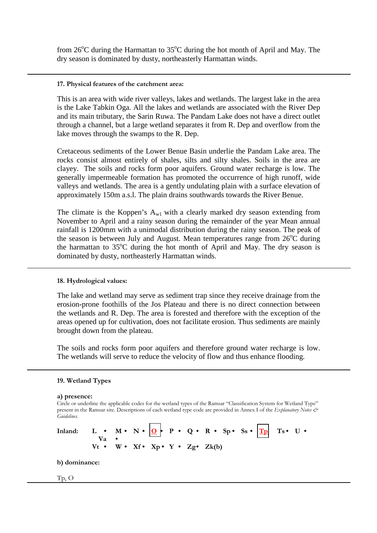from  $26^{\circ}$ C during the Harmattan to  $35^{\circ}$ C during the hot month of April and May. The dry season is dominated by dusty, northeasterly Harmattan winds.

## **17. Physical features of the catchment area:**

This is an area with wide river valleys, lakes and wetlands. The largest lake in the area is the Lake Tabkin Oga. All the lakes and wetlands are associated with the River Dep and its main tributary, the Sarin Ruwa. The Pandam Lake does not have a direct outlet through a channel, but a large wetland separates it from R. Dep and overflow from the lake moves through the swamps to the R. Dep.

Cretaceous sediments of the Lower Benue Basin underlie the Pandam Lake area. The rocks consist almost entirely of shales, silts and silty shales. Soils in the area are clayey. The soils and rocks form poor aquifers. Ground water recharge is low. The generally impermeable formation has promoted the occurrence of high runoff, wide valleys and wetlands. The area is a gently undulating plain with a surface elevation of approximately 150m a.s.l. The plain drains southwards towards the River Benue.

The climate is the Koppen's  $A_{w1}$  with a clearly marked dry season extending from November to April and a rainy season during the remainder of the year Mean annual rainfall is 1200mm with a unimodal distribution during the rainy season. The peak of the season is between July and August. Mean temperatures range from  $26^{\circ}$ C during the harmattan to  $35^{\circ}$ C during the hot month of April and May. The dry season is dominated by dusty, northeasterly Harmattan winds.

# **18. Hydrological values:**

The lake and wetland may serve as sediment trap since they receive drainage from the erosion-prone foothills of the Jos Plateau and there is no direct connection between the wetlands and R. Dep. The area is forested and therefore with the exception of the areas opened up for cultivation, does not facilitate erosion. Thus sediments are mainly brought down from the plateau.

The soils and rocks form poor aquifers and therefore ground water recharge is low. The wetlands will serve to reduce the velocity of flow and thus enhance flooding.

## **19. Wetland Types**

#### **a) presence:**

Circle or underline the applicable codes for the wetland types of the Ramsar "Classification System for Wetland Type" present in the Ramsar site. Descriptions of each wetland type code are provided in Annex I of the *Explanatory Notes & Guidelines*.

Inland:  $L \cdot M \cdot N \cdot Q \cdot P \cdot Q \cdot R \cdot Sp \cdot S \cdot T_P$  Ts • U •  **Va •**   $Vt \bullet W \bullet Xf \bullet Xp \bullet Y \bullet Zg \bullet Zk(b)$ 

**b) dominance:** 

## Tp, O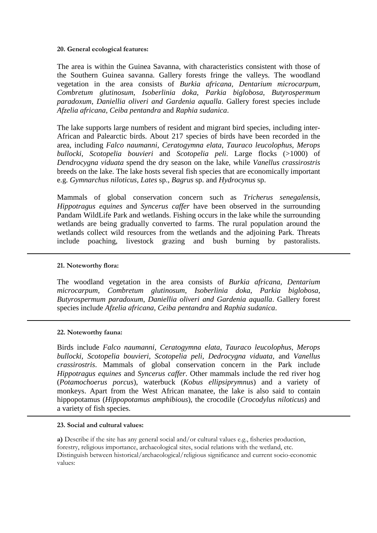## **20. General ecological features:**

The area is within the Guinea Savanna, with characteristics consistent with those of the Southern Guinea savanna. Gallery forests fringe the valleys. The woodland vegetation in the area consists of *Burkia africana, Dentarium microcarpum*, *Combretum glutinosum, Isoberlinia doka*, *Parkia biglobosa, Butyrospermum paradoxum*, *Daniellia oliveri and Gardenia aqualla*. Gallery forest species include *Afzelia africana, Ceiba pentandra* and *Raphia sudanica*.

The lake supports large numbers of resident and migrant bird species, including inter-African and Palearctic birds. About 217 species of birds have been recorded in the area, including *Falco naumanni*, *Ceratogymna elata*, *Tauraco leucolophus*, *Merops bullocki*, *Scotopelia bouvieri* and *Scotopelia peli*. Large flocks (>1000) of *Dendrocygna viduata* spend the dry season on the lake, while *Vanellus crassirostris* breeds on the lake. The lake hosts several fish species that are economically important e.g. *Gymnarchus niloticus*, *Lates* sp., *Bagrus* sp. and *Hydrocynus* sp.

Mammals of global conservation concern such as *Tricherus senegalensis, Hippotragus equines* and *Syncerus caffer* have been observed in the surrounding Pandam WildLife Park and wetlands. Fishing occurs in the lake while the surrounding wetlands are being gradually converted to farms. The rural population around the wetlands collect wild resources from the wetlands and the adjoining Park. Threats include poaching, livestock grazing and bush burning by pastoralists.

## **21. Noteworthy flora:**

The woodland vegetation in the area consists of *Burkia africana, Dentarium microcarpum*, *Combretum glutinosum, Isoberlinia doka*, *Parkia biglobosa, Butyrospermum paradoxum*, *Daniellia oliveri and Gardenia aqualla*. Gallery forest species include *Afzelia africana, Ceiba pentandra* and *Raphia sudanica*.

## **22. Noteworthy fauna:**

Birds include *Falco naumanni*, *Ceratogymna elata*, *Tauraco leucolophus*, *Merops bullocki*, *Scotopelia bouvieri*, *Scotopelia peli, Dedrocygna viduata,* and *Vanellus crassirostris*. Mammals of global conservation concern in the Park include *Hippotragus equines* and *Syncerus caffer*. Other mammals include the red river hog (*Potamochoerus porcus*), waterbuck (*Kobus ellipsiprymnus*) and a variety of monkeys. Apart from the West African manatee, the lake is also said to contain hippopotamus (*Hippopotamus amphibious*), the crocodile (*Crocodylus niloticus*) and a variety of fish species.

## **23. Social and cultural values:**

**a)** Describe if the site has any general social and/or cultural values e.g., fisheries production, forestry, religious importance, archaeological sites, social relations with the wetland, etc. Distinguish between historical/archaeological/religious significance and current socio-economic values: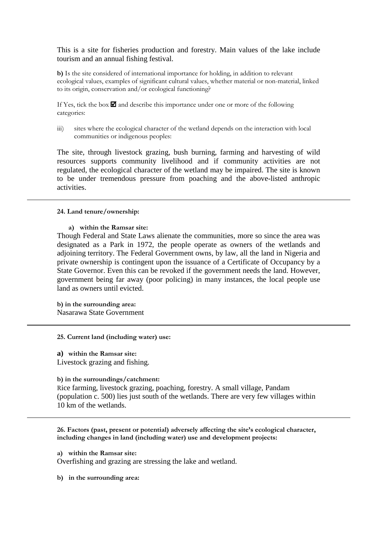This is a site for fisheries production and forestry. Main values of the lake include tourism and an annual fishing festival.

**b)** Is the site considered of international importance for holding, in addition to relevant ecological values, examples of significant cultural values, whether material or non-material, linked to its origin, conservation and/or ecological functioning?

If Yes, tick the box  $\blacksquare$  and describe this importance under one or more of the following categories:

iii) sites where the ecological character of the wetland depends on the interaction with local communities or indigenous peoples:

The site, through livestock grazing, bush burning, farming and harvesting of wild resources supports community livelihood and if community activities are not regulated, the ecological character of the wetland may be impaired. The site is known to be under tremendous pressure from poaching and the above-listed anthropic activities.

## **24. Land tenure/ownership:**

**a) within the Ramsar site:** 

Though Federal and State Laws alienate the communities, more so since the area was designated as a Park in 1972, the people operate as owners of the wetlands and adjoining territory. The Federal Government owns, by law, all the land in Nigeria and private ownership is contingent upon the issuance of a Certificate of Occupancy by a State Governor. Even this can be revoked if the government needs the land. However, government being far away (poor policing) in many instances, the local people use land as owners until evicted.

**b) in the surrounding area:**  Nasarawa State Government

**25. Current land (including water) use:** 

**a) within the Ramsar site:** Livestock grazing and fishing.

## **b) in the surroundings/catchment:**

Rice farming, livestock grazing, poaching, forestry. A small village, Pandam (population c. 500) lies just south of the wetlands. There are very few villages within 10 km of the wetlands.

**26. Factors (past, present or potential) adversely affecting the site's ecological character, including changes in land (including water) use and development projects:** 

**a) within the Ramsar site:** 

Overfishing and grazing are stressing the lake and wetland.

**b) in the surrounding area:**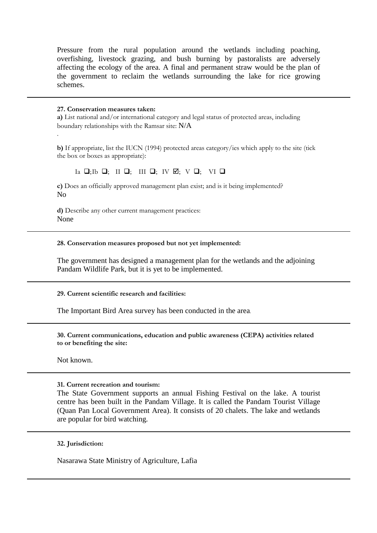Pressure from the rural population around the wetlands including poaching, overfishing, livestock grazing, and bush burning by pastoralists are adversely affecting the ecology of the area. A final and permanent straw would be the plan of the government to reclaim the wetlands surrounding the lake for rice growing schemes.

## **27. Conservation measures taken:**

.

**a)** List national and/or international category and legal status of protected areas, including boundary relationships with the Ramsar site: N/A

**b)** If appropriate, list the IUCN (1994) protected areas category/ies which apply to the site (tick the box or boxes as appropriate):

 $Ia \nightharpoonup; Ib \nightharpoonup; II \nightharpoonup; III \nightharpoonup; IV \nightharpoonup; V \nightharpoonup; VI \nightharpoonup$ 

**c)** Does an officially approved management plan exist; and is it being implemented? No

**d)** Describe any other current management practices: None

## **28. Conservation measures proposed but not yet implemented:**

The government has designed a management plan for the wetlands and the adjoining Pandam Wildlife Park, but it is yet to be implemented.

**29. Current scientific research and facilities:** 

The Important Bird Area survey has been conducted in the area.

**30. Current communications, education and public awareness (CEPA) activities related to or benefiting the site:** 

Not known.

## **31. Current recreation and tourism:**

The State Government supports an annual Fishing Festival on the lake. A tourist centre has been built in the Pandam Village. It is called the Pandam Tourist Village (Quan Pan Local Government Area). It consists of 20 chalets. The lake and wetlands are popular for bird watching.

**32. Jurisdiction:** 

Nasarawa State Ministry of Agriculture, Lafia